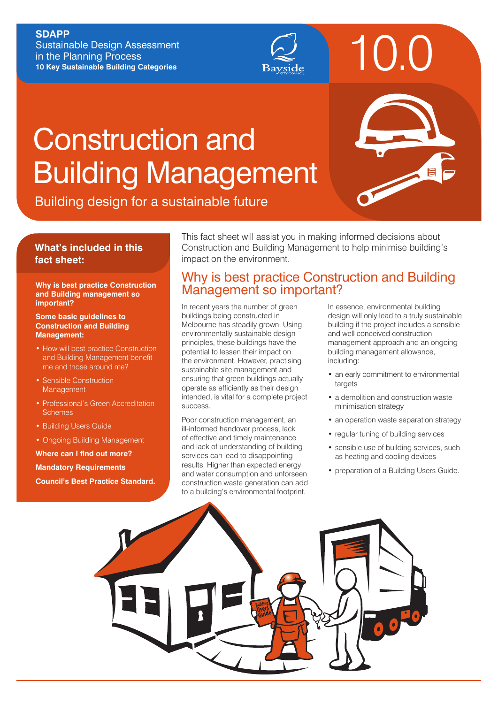#### **SDAPP**

Sustainable Design Assessment in the Planning Process **10 Key Sustainable Building Categories**



# Construction and Building Management

|  | <b>in</b>           |
|--|---------------------|
|  | $\blacksquare$<br>7 |
|  |                     |

10.0

Building design for a sustainable future

### **What's included in this fact sheet:**

### **and Building management so important?**

#### **Some basic guidelines to Construction and Building Management:**

- How will best practice Construction and Building Management benefit me and those around me?
- Sensible Construction **Management**
- Professional's Green Accreditation **Schemes**
- Building Users Guide
- Ongoing Building Management

**Where can I find out more? Mandatory Requirements Council's Best Practice Standard.**

This fact sheet will assist you in making informed decisions about Construction and Building Management to help minimise building's impact on the environment.

### Why is best practice Construction and Building Why is best practice Construction<br>and Building management so **important?**

In recent years the number of green buildings being constructed in Melbourne has steadily grown. Using environmentally sustainable design principles, these buildings have the potential to lessen their impact on the environment. However, practising sustainable site management and ensuring that green buildings actually operate as efficiently as their design intended, is vital for a complete project success.

Poor construction management, an ill-informed handover process, lack of effective and timely maintenance and lack of understanding of building services can lead to disappointing results. Higher than expected energy and water consumption and unforseen construction waste generation can add to a building's environmental footprint.

In essence, environmental building design will only lead to a truly sustainable building if the project includes a sensible and well conceived construction management approach and an ongoing building management allowance, including:

- an early commitment to environmental targets
- a demolition and construction waste minimisation strategy
- an operation waste separation strategy
- regular tuning of building services
- sensible use of building services, such as heating and cooling devices
- preparation of a Building Users Guide.

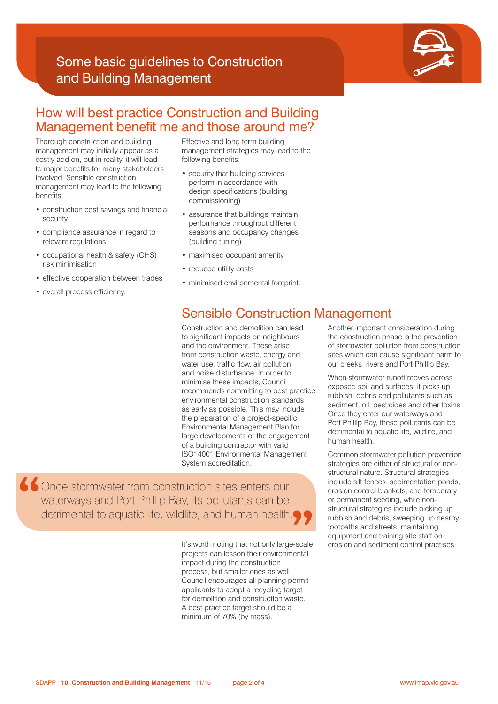# Some basic guidelines to Construction and Building Management



### How will best practice Construction and Building Management benefit me and those around me?

Thorough construction and building management may initially appear as a costly add on, but in reality, it will lead to major benefits for many stakeholders involved. Sensible construction management may lead to the following benefits:

- construction cost savings and financial security
- compliance assurance in regard to relevant regulations
- occupational health & safety (OHS) risk minimisation
- effective cooperation between trades
- overall process efficiency.

Effective and long term building management strategies may lead to the following benefits:

- security that building services perform in accordance with design specifications (building commissioning)
- assurance that buildings maintain performance throughout different seasons and occupancy changes (building tuning)
- maximised occupant amenity
- reduced utility costs
- minimised environmental footprint.

### Sensible Construction Management

Construction and demolition can lead to significant impacts on neighbours and the environment. These arise from construction waste, energy and water use, traffic flow, air pollution and noise disturbance. In order to minimise these impacts, Council recommends committing to best practice environmental construction standards as early as possible. This may include the preparation of a project-specific Environmental Management Plan for large developments or the engagement of a building contractor with valid ISO14001 Environmental Management System accreditation.

**66** Once stormwater from construction sites enters our waterways and Port Phillip Bay, its pollutants can be detrimental to aquatic life, wildlife, and human health.

> It's worth noting that not only large-scale projects can lesson their environmental impact during the construction process, but smaller ones as well. Council encourages all planning permit applicants to adopt a recycling target for demolition and construction waste. A best practice target should be a minimum of 70% (by mass).

Another important consideration during the construction phase is the prevention of stormwater pollution from construction sites which can cause significant harm to our creeks, rivers and Port Phillip Bay.

When stormwater runoff moves across exposed soil and surfaces, it picks up rubbish, debris and pollutants such as sediment, oil, pesticides and other toxins. Once they enter our waterways and Port Phillip Bay, these pollutants can be detrimental to aquatic life, wildlife, and human health.

Common stormwater pollution prevention strategies are either of structural or nonstructural nature. Structural strategies include silt fences, sedimentation ponds, erosion control blankets, and temporary or permanent seeding, while nonstructural strategies include picking up rubbish and debris, sweeping up nearby footpaths and streets, maintaining equipment and training site staff on erosion and sediment control practises.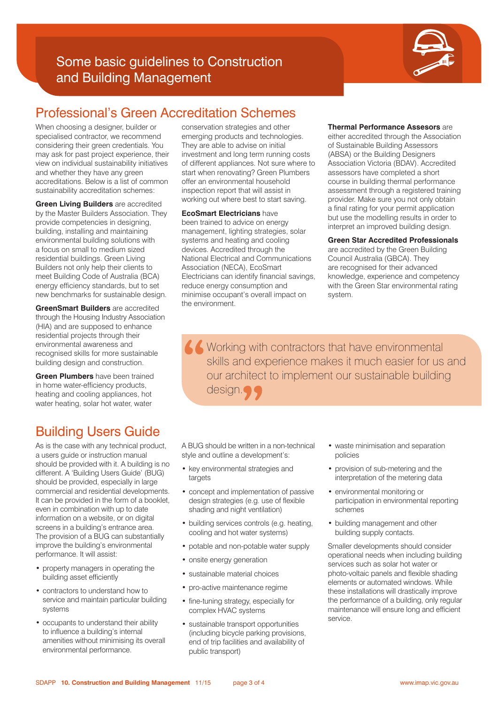# Some basic guidelines to Construction and Building Management



# Professional's Green Accreditation Schemes

When choosing a designer, builder or specialised contractor, we recommend considering their green credentials. You may ask for past project experience, their view on individual sustainability initiatives and whether they have any green accreditations. Below is a list of common sustainability accreditation schemes:

**Green Living Builders** are accredited by the Master Builders Association. They provide competencies in designing, building, installing and maintaining environmental building solutions with a focus on small to medium sized residential buildings. Green Living Builders not only help their clients to meet Building Code of Australia (BCA) energy efficiency standards, but to set new benchmarks for sustainable design.

**GreenSmart Builders** are accredited through the Housing Industry Association (HIA) and are supposed to enhance residential projects through their environmental awareness and recognised skills for more sustainable building design and construction.

**Green Plumbers** have been trained in home water-efficiency products, heating and cooling appliances, hot water heating, solar hot water, water

# Building Users Guide

As is the case with any technical product, a users guide or instruction manual should be provided with it. A building is no different. A 'Building Users Guide' (BUG) should be provided, especially in large commercial and residential developments. It can be provided in the form of a booklet, even in combination with up to date information on a website, or on digital screens in a building's entrance area. The provision of a BUG can substantially improve the building's environmental performance. It will assist:

- property managers in operating the building asset efficiently
- contractors to understand how to service and maintain particular building systems
- occupants to understand their ability to influence a building's internal amenities without minimising its overall environmental performance.

conservation strategies and other emerging products and technologies. They are able to advise on initial investment and long term running costs of different appliances. Not sure where to start when renovating? Green Plumbers offer an environmental household inspection report that will assist in working out where best to start saving.

**EcoSmart Electricians** have been trained to advice on energy management, lighting strategies, solar systems and heating and cooling devices. Accredited through the National Electrical and Communications Association (NECA), EcoSmart Electricians can identify financial savings, reduce energy consumption and minimise occupant's overall impact on the environment.

#### **Thermal Performance Assesors** are

either accredited through the Association of Sustainable Building Assessors (ABSA) or the Building Designers Association Victoria (BDAV). Accredited assessors have completed a short course in building thermal performance assessment through a registered training provider. Make sure you not only obtain a final rating for your permit application but use the modelling results in order to interpret an improved building design.

#### **Green Star Accredited Professionals**

are accredited by the Green Building Council Australia (GBCA). They are recognised for their advanced knowledge, experience and competency with the Green Star environmental rating system.

K Working with contractors that have environmental skills and experience makes it much easier for us and our architect to implement our sustainable building design.

A BUG should be written in a non-technical style and outline a development's:

- key environmental strategies and targets
- concept and implementation of passive design strategies (e.g. use of flexible shading and night ventilation)
- building services controls (e.g. heating, cooling and hot water systems)
- potable and non-potable water supply
- onsite energy generation
- sustainable material choices
- pro-active maintenance regime
- fine-tuning strategy, especially for complex HVAC systems
- sustainable transport opportunities (including bicycle parking provisions, end of trip facilities and availability of public transport)
- waste minimisation and separation policies
- provision of sub-metering and the interpretation of the metering data
- environmental monitoring or participation in environmental reporting schemes
- building management and other building supply contacts.

Smaller developments should consider operational needs when including building services such as solar hot water or photo-voltaic panels and flexible shading elements or automated windows. While these installations will drastically improve the performance of a building, only regular maintenance will ensure long and efficient service.